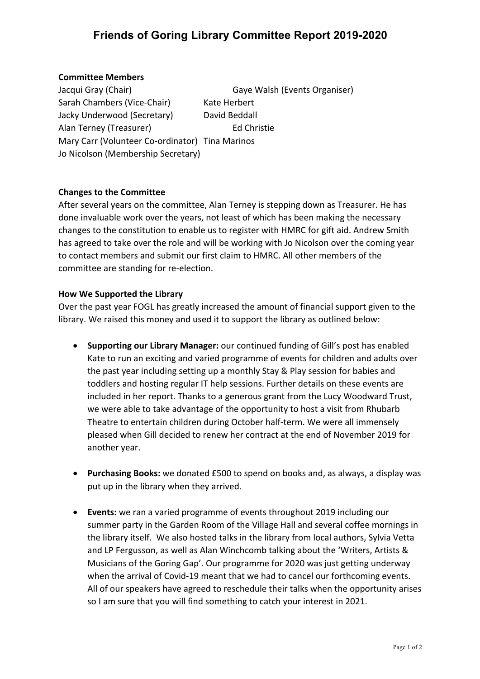## **Friends of Goring Library Committee Report 2019-2020**

#### **Committee Members**

Jacqui Gray (Chair) Gaye Walsh (Events Organiser) Sarah Chambers (Vice-Chair) Kate Herbert Jacky Underwood (Secretary) David Beddall Alan Terney (Treasurer) Ed Christie Mary Carr (Volunteer Co-ordinator) Tina Marinos Jo Nicolson (Membership Secretary)

### **Changes to the Committee**

After several years on the committee, Alan Terney is stepping down as Treasurer. He has done invaluable work over the years, not least of which has been making the necessary changes to the constitution to enable us to register with HMRC for gift aid. Andrew Smith has agreed to take over the role and will be working with Jo Nicolson over the coming year to contact members and submit our first claim to HMRC. All other members of the committee are standing for re-election.

#### **How We Supported the Library**

Over the past year FOGL has greatly increased the amount of financial support given to the library. We raised this money and used it to support the library as outlined below:

- **Supporting our Library Manager:** our continued funding of Gill's post has enabled Kate to run an exciting and varied programme of events for children and adults over the past year including setting up a monthly Stay & Play session for babies and toddlers and hosting regular IT help sessions. Further details on these events are included in her report. Thanks to a generous grant from the Lucy Woodward Trust, we were able to take advantage of the opportunity to host a visit from Rhubarb Theatre to entertain children during October half-term. We were all immensely pleased when Gill decided to renew her contract at the end of November 2019 for another year.
- **Purchasing Books:** we donated £500 to spend on books and, as always, a display was put up in the library when they arrived.
- **Events:** we ran a varied programme of events throughout 2019 including our summer party in the Garden Room of the Village Hall and several coffee mornings in the library itself. We also hosted talks in the library from local authors, Sylvia Vetta and LP Fergusson, as well as Alan Winchcomb talking about the 'Writers, Artists & Musicians of the Goring Gap'. Our programme for 2020 was just getting underway when the arrival of Covid-19 meant that we had to cancel our forthcoming events. All of our speakers have agreed to reschedule their talks when the opportunity arises so I am sure that you will find something to catch your interest in 2021.